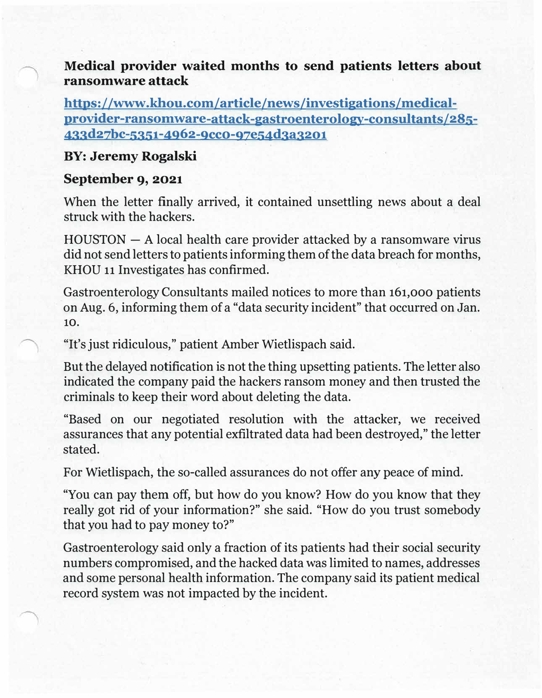**Medical provider waited months to send patients letters about ransomware attack** 

**https://www.khou.com/article/news/investigations/medicalprovider-ransornware-attack-gastroenterology-consultants/285- 433d27bc-5351-4962-9cco-97e54d3a3201** 

## **BY: Jeremy Rogalski**

## **September 9, 2021**

When the letter finally arrived, it contained unsettling news about a deal struck with the hackers.

 $HOUSTON - A local health care provider attacked by a transomware virus$ did not send letters to patients informing them of the data breach for months, KHOU 11 Investigates has confirmed.

Gastroenterology Consultants mailed notices to more than **161,000** patients on Aug. 6, informing them of a "data security incident" that occurred on Jan. **10.** 

"It's just ridiculous," patient Amber Wietlispach said.

But the delayed notification is not the thing upsetting patients. The letter also indicated the company paid the hackers ransom money and then trusted the criminals to keep their word about deleting the data.

"Based on our negotiated resolution with the attacker, we received assurances that any potential exfiltrated data had been destroyed," the letter stated.

For Wietlispach, the so-called assurances do not offer any peace of mind.

"You can pay them off, but how do you know? How do you know that they really got rid of your information?" she said. "How do you trust somebody that you had to pay money to?"

Gastroenterology said only a fraction of its patients had their social security numbers compromised, and the hacked data was limited to names, addresses and some personal health information. The company said its patient medical record system was not impacted by the incident.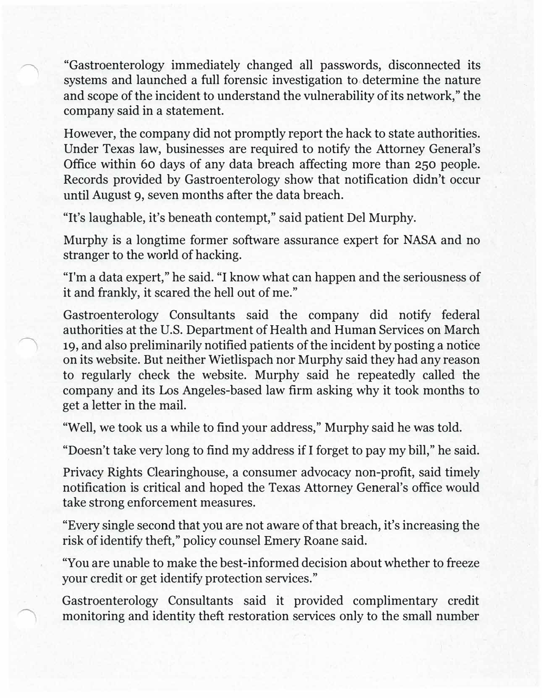"Gastroenterology immediately changed all passwords, disconnected its systems and launched a full forensic investigation to determine the nature and scope of the incident to understand the vulnerability of its network," the company said in a statement.

However, the company did not promptly report the hack to state authorities. Under Texas law, businesses are required to notify the Attorney General's Office within 60 days of any data breach affecting more than 250 people. Records provided by Gastroenterology show that notification didn't occur until August 9, seven months after the data breach.

"It's laughable, it's beneath contempt," said patient Del Murphy.

Murphy is a longtime former software assurance expert for NASA and no stranger to the world of hacking.

"I'm a data expert," he said. "I know what can happen and the seriousness of it and frankly, it scared the hell out of me."

Gastroenterology Consultants said the company did notify federal authorities at the U.S. Department of Health and Human Services on March 19, and also preliminarily notified patients of the incident by posting a notice on its website. But neither Wietlispach nor Murphy said they had any reason to regularly check the website. Murphy said he repeatedly called the company and its Los Angeles-based law firm asking why it took months to get a letter in the mail.

"Well, we took us a while to find your address," Murphy said he was told.

"Doesn't take very long to find my address if I forget to pay my bill," he said.

Privacy Rights Clearinghouse, a consumer advocacy non-profit, said timely notification is critical and hoped the Texas Attorney General's office would take strong enforcement measures.

"Every single second that you are not aware of that breach, it's increasing the risk of identify theft," policy counsel Emery Roane said.

"You are unable to make the best-informed decision about whether to freeze your credit or get identify protection services."

Gastroenterology Consultants said it provided complimentary credit monitoring and identity theft restoration services only to the small number